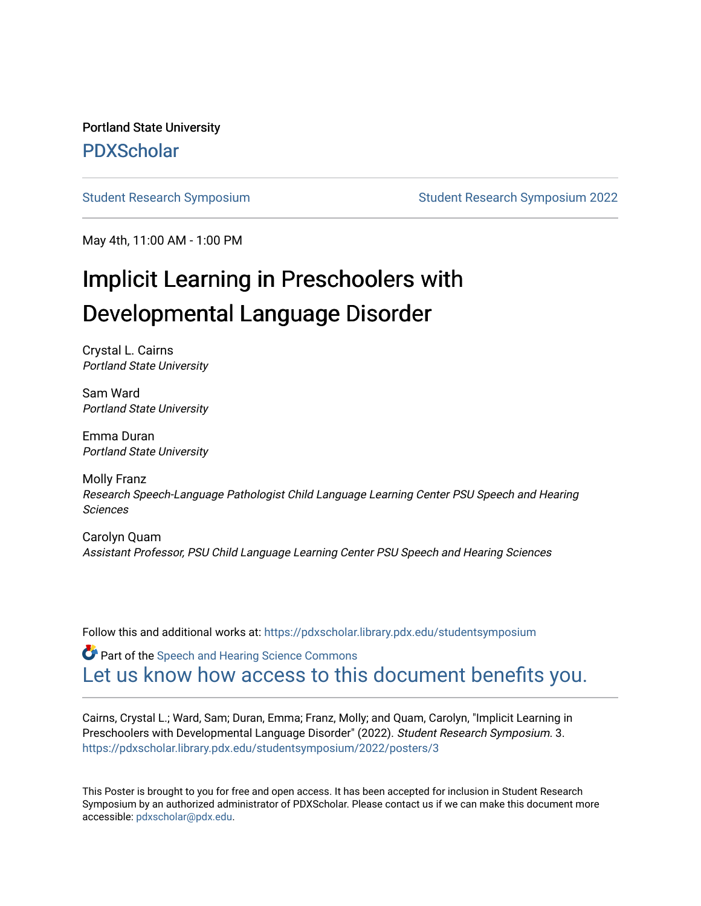Portland State University [PDXScholar](https://pdxscholar.library.pdx.edu/)

[Student Research Symposium](https://pdxscholar.library.pdx.edu/studentsymposium) [Student Research Symposium 2022](https://pdxscholar.library.pdx.edu/studentsymposium/2022) 

May 4th, 11:00 AM - 1:00 PM

### Implicit Learning in Preschoolers with Developmental Language Disorder

Crystal L. Cairns Portland State University

Sam Ward Portland State University

Emma Duran Portland State University

Molly Franz Research Speech-Language Pathologist Child Language Learning Center PSU Speech and Hearing Sciences

Carolyn Quam Assistant Professor, PSU Child Language Learning Center PSU Speech and Hearing Sciences

Follow this and additional works at: [https://pdxscholar.library.pdx.edu/studentsymposium](https://pdxscholar.library.pdx.edu/studentsymposium?utm_source=pdxscholar.library.pdx.edu%2Fstudentsymposium%2F2022%2Fposters%2F3&utm_medium=PDF&utm_campaign=PDFCoverPages) 

**Part of the [Speech and Hearing Science Commons](http://network.bepress.com/hgg/discipline/1033?utm_source=pdxscholar.library.pdx.edu%2Fstudentsymposium%2F2022%2Fposters%2F3&utm_medium=PDF&utm_campaign=PDFCoverPages)** [Let us know how access to this document benefits you.](http://library.pdx.edu/services/pdxscholar-services/pdxscholar-feedback/) 

Cairns, Crystal L.; Ward, Sam; Duran, Emma; Franz, Molly; and Quam, Carolyn, "Implicit Learning in Preschoolers with Developmental Language Disorder" (2022). Student Research Symposium. 3. [https://pdxscholar.library.pdx.edu/studentsymposium/2022/posters/3](https://pdxscholar.library.pdx.edu/studentsymposium/2022/posters/3?utm_source=pdxscholar.library.pdx.edu%2Fstudentsymposium%2F2022%2Fposters%2F3&utm_medium=PDF&utm_campaign=PDFCoverPages) 

This Poster is brought to you for free and open access. It has been accepted for inclusion in Student Research Symposium by an authorized administrator of PDXScholar. Please contact us if we can make this document more accessible: [pdxscholar@pdx.edu.](mailto:pdxscholar@pdx.edu)